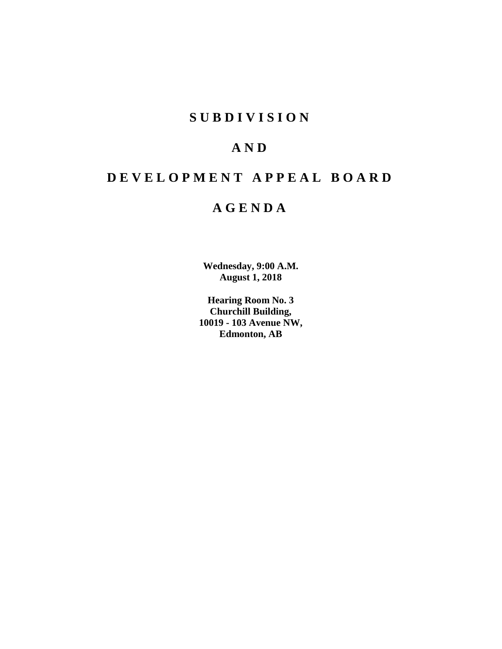# **SUBDIVISION**

# **AND**

# **DEVELOPMENT APPEAL BOARD**

# **AGENDA**

**Wednesday, 9:00 A.M. August 1, 2018**

**Hearing Room No. 3 Churchill Building, 10019 - 103 Avenue NW, Edmonton, AB**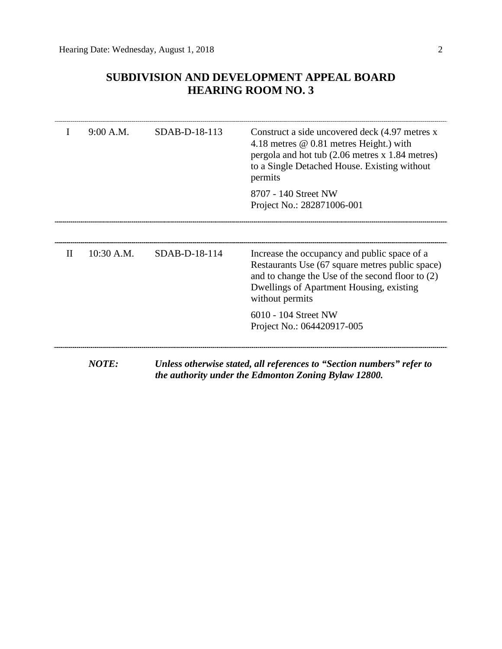# **SUBDIVISION AND DEVELOPMENT APPEAL BOARD HEARING ROOM NO. 3**

|              | 9:00 A.M.    | SDAB-D-18-113 | Construct a side uncovered deck (4.97 metres x<br>4.18 metres $@$ 0.81 metres Height.) with<br>pergola and hot tub (2.06 metres x 1.84 metres)<br>to a Single Detached House. Existing without<br>permits          |
|--------------|--------------|---------------|--------------------------------------------------------------------------------------------------------------------------------------------------------------------------------------------------------------------|
|              |              |               | 8707 - 140 Street NW<br>Project No.: 282871006-001                                                                                                                                                                 |
| $\mathbf{I}$ | 10:30 A.M.   | SDAB-D-18-114 | Increase the occupancy and public space of a<br>Restaurants Use (67 square metres public space)<br>and to change the Use of the second floor to (2)<br>Dwellings of Apartment Housing, existing<br>without permits |
|              |              |               | 6010 - 104 Street NW<br>Project No.: 064420917-005                                                                                                                                                                 |
|              | <b>NOTE:</b> |               | Unless otherwise stated, all references to "Section numbers" refer to<br>the authority under the Edmonton Zoning Bylaw 12800.                                                                                      |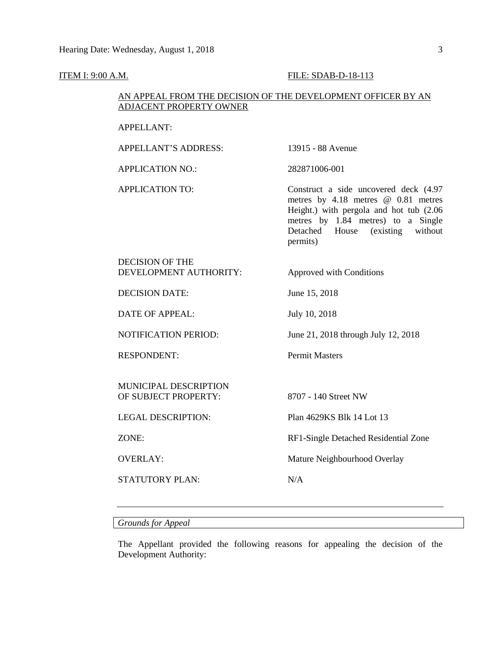#### **ITEM I: 9:00 A.M. FILE: SDAB-D-18-113**

# AN APPEAL FROM THE DECISION OF THE DEVELOPMENT OFFICER BY AN ADJACENT PROPERTY OWNER

#### APPELLANT:

APPELLANT'S ADDRESS: 13915 - 88 Avenue APPLICATION NO.: 282871006-001 APPLICATION TO: Construct a side uncovered deck (4.97 metres by 4.18 metres @ 0.81 metres Height.) with pergola and hot tub (2.06 metres by 1.84 metres) to a Single Detached House (existing without permits) DECISION OF THE DEVELOPMENT AUTHORITY: Approved with Conditions DECISION DATE: June 15, 2018 DATE OF APPEAL: July 10, 2018 NOTIFICATION PERIOD: June 21, 2018 through July 12, 2018 RESPONDENT: Permit Masters MUNICIPAL DESCRIPTION OF SUBJECT PROPERTY: 8707 - 140 Street NW LEGAL DESCRIPTION: Plan 4629KS Blk 14 Lot 13 ZONE: RF1-Single Detached Residential Zone OVERLAY: Mature Neighbourhood Overlay STATUTORY PLAN: N/A

# *Grounds for Appeal*

The Appellant provided the following reasons for appealing the decision of the Development Authority: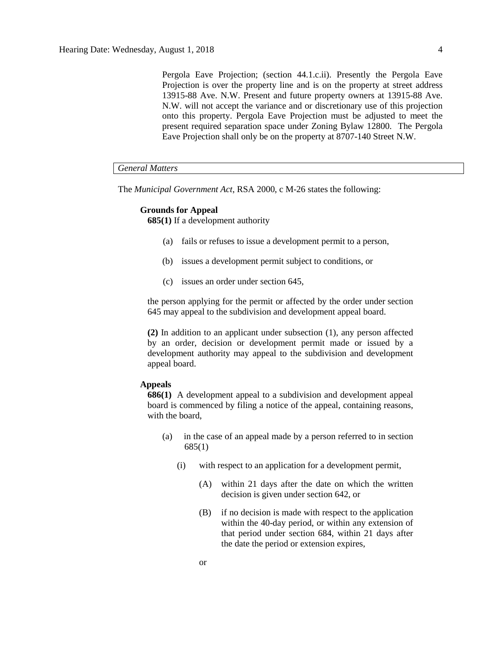Pergola Eave Projection; (section 44.1.c.ii). Presently the Pergola Eave Projection is over the property line and is on the property at street address 13915-88 Ave. N.W. Present and future property owners at 13915-88 Ave. N.W. will not accept the variance and or discretionary use of this projection onto this property. Pergola Eave Projection must be adjusted to meet the present required separation space under Zoning Bylaw 12800. The Pergola Eave Projection shall only be on the property at 8707-140 Street N.W.

## *General Matters*

The *Municipal Government Act*, RSA 2000, c M-26 states the following:

#### **Grounds for Appeal**

**685(1)** If a development authority

- (a) fails or refuses to issue a development permit to a person,
- (b) issues a development permit subject to conditions, or
- (c) issues an order under section 645,

the person applying for the permit or affected by the order under section 645 may appeal to the subdivision and development appeal board.

**(2)** In addition to an applicant under subsection (1), any person affected by an order, decision or development permit made or issued by a development authority may appeal to the subdivision and development appeal board.

#### **Appeals**

**686(1)** A development appeal to a subdivision and development appeal board is commenced by filing a notice of the appeal, containing reasons, with the board,

- (a) in the case of an appeal made by a person referred to in section 685(1)
	- (i) with respect to an application for a development permit,
		- (A) within 21 days after the date on which the written decision is given under section 642, or
		- (B) if no decision is made with respect to the application within the 40-day period, or within any extension of that period under section 684, within 21 days after the date the period or extension expires,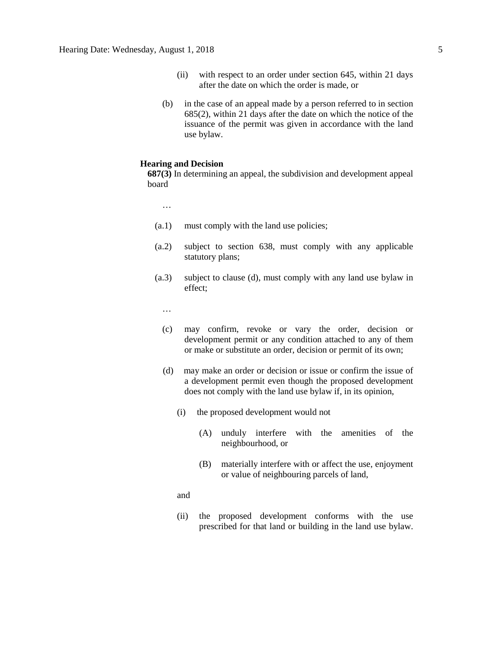- (ii) with respect to an order under section 645, within 21 days after the date on which the order is made, or
- (b) in the case of an appeal made by a person referred to in section 685(2), within 21 days after the date on which the notice of the issuance of the permit was given in accordance with the land use bylaw.

# **Hearing and Decision**

**687(3)** In determining an appeal, the subdivision and development appeal board

…

- (a.1) must comply with the land use policies;
- (a.2) subject to section 638, must comply with any applicable statutory plans;
- (a.3) subject to clause (d), must comply with any land use bylaw in effect;

…

- (c) may confirm, revoke or vary the order, decision or development permit or any condition attached to any of them or make or substitute an order, decision or permit of its own;
- (d) may make an order or decision or issue or confirm the issue of a development permit even though the proposed development does not comply with the land use bylaw if, in its opinion,
	- (i) the proposed development would not
		- (A) unduly interfere with the amenities of the neighbourhood, or
		- (B) materially interfere with or affect the use, enjoyment or value of neighbouring parcels of land,

and

(ii) the proposed development conforms with the use prescribed for that land or building in the land use bylaw.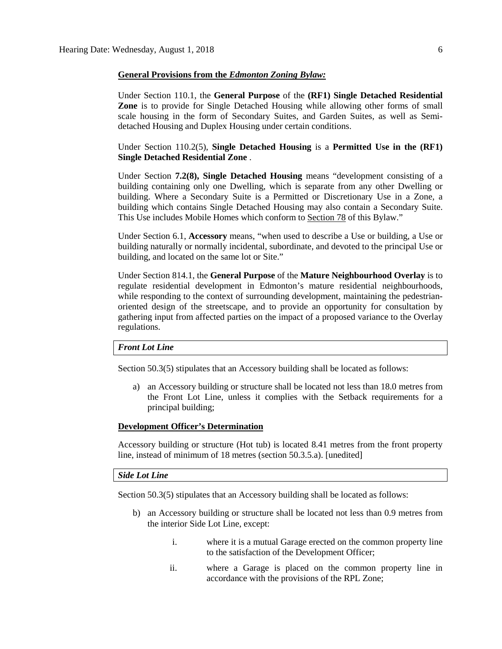#### **General Provisions from the** *Edmonton Zoning Bylaw:*

Under Section 110.1, the **General Purpose** of the **(RF1) Single Detached Residential Zone** is to provide for Single Detached Housing while allowing other forms of small scale housing in the form of Secondary Suites, and Garden Suites, as well as Semidetached Housing and Duplex Housing under certain conditions.

Under Section 110.2(5), **Single Detached Housing** is a **Permitted Use in the (RF1) Single Detached Residential Zone** .

Under Section **7.2(8), Single Detached Housing** means "development consisting of a building containing only one Dwelling, which is separate from any other Dwelling or building. Where a Secondary Suite is a Permitted or Discretionary Use in a Zone, a building which contains Single Detached Housing may also contain a Secondary Suite. This Use includes Mobile Homes which conform to [Section 78](https://webdocs.edmonton.ca/InfraPlan/zoningbylaw/ZoningBylaw/Part1/Special_Land/78__Mobile_Homes.htm) of this Bylaw."

Under Section 6.1, **Accessory** means, "when used to describe a Use or building, a Use or building naturally or normally incidental, subordinate, and devoted to the principal Use or building, and located on the same lot or Site."

Under Section 814.1, the **General Purpose** of the **Mature Neighbourhood Overlay** is to regulate residential development in Edmonton's mature residential neighbourhoods, while responding to the context of surrounding development, maintaining the pedestrianoriented design of the streetscape, and to provide an opportunity for consultation by gathering input from affected parties on the impact of a proposed variance to the Overlay regulations.

#### *Front Lot Line*

Section 50.3(5) stipulates that an Accessory building shall be located as follows:

a) an Accessory building or structure shall be located not less than [18.0 me](javascript:void(0);)tres from the Front Lot Line, unless it complies with the Setback requirements for a principal building;

#### **Development Officer's Determination**

Accessory building or structure (Hot tub) is located 8.41 metres from the front property line, instead of minimum of 18 metres (section 50.3.5.a). [unedited]

#### *Side Lot Line*

Section 50.3(5) stipulates that an Accessory building shall be located as follows:

- b) an Accessory building or structure shall be located not less than [0.9 me](javascript:void(0);)tres from the interior Side Lot Line, except:
	- i. where it is a mutual Garage erected on the common property line to the satisfaction of the Development Officer;
	- ii. where a Garage is placed on the common property line in accordance with the provisions of the RPL Zone;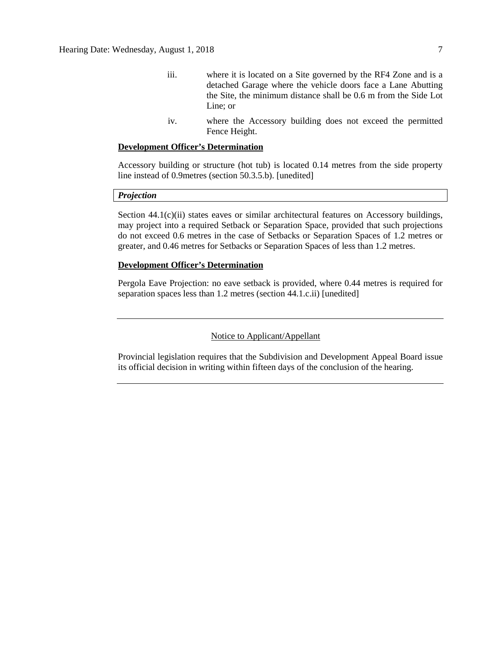- iii. where it is located on a Site governed by the RF4 Zone and is a detached Garage where the vehicle doors face a Lane Abutting the Site, the minimum distance shall be 0.6 m from the Side Lot Line; or
- iv. where the Accessory building does not exceed the permitted Fence Height.

### **Development Officer's Determination**

Accessory building or structure (hot tub) is located 0.14 metres from the side property line instead of 0.9metres (section 50.3.5.b). [unedited]

#### *Projection*

Section 44.1(c)(ii) states eaves or similar architectural features on Accessory buildings, may project into a required Setback or Separation Space, provided that such projections do not exceed [0.6 me](javascript:void(0);)tres in the case of Setbacks or Separation Spaces of [1.2 me](javascript:void(0);)tres or greater, and [0.46 me](javascript:void(0);)tres for Setbacks or Separation Spaces of less than [1.2 me](javascript:void(0);)tres.

#### **Development Officer's Determination**

Pergola Eave Projection: no eave setback is provided, where 0.44 metres is required for separation spaces less than 1.2 metres (section 44.1.c.ii) [unedited]

## Notice to Applicant/Appellant

Provincial legislation requires that the Subdivision and Development Appeal Board issue its official decision in writing within fifteen days of the conclusion of the hearing.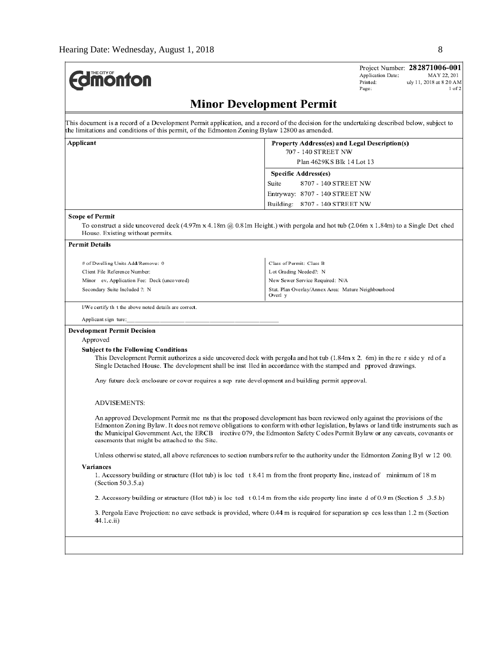| <b>Minor Development Permit</b><br>Applicant<br>Property Address(es) and Legal Description(s)<br>707 - 140 STREET NW<br>Plan 4629KS Blk 14 Lot 13<br>Specific Address(es)<br>Suite<br>8707 - 140 STREET NW<br>Entryway: 8707 - 140 STREET NW<br>8707 - 140 STREET NW<br>Building:<br><b>Scope of Permit</b><br>To construct a side uncovered deck (4.97m x 4.18m @ 0.81m Height.) with pergola and hot tub (2.06m x 1.84m) to a Single Det ched<br>House. Existing without permits.<br><b>Permit Details</b><br>Class of Permit: Class B<br># of Dwelling Units Add/Remove: 0<br>Lot Grading Needed?: N<br>Client File Reference Number:<br>New Sewer Service Required: N/A<br>Minor ev. Application Fee: Deck (uncovered)<br>Stat. Plan Overlay/Annex Area: Mature Neighbourhood<br>Secondary Suite Included ?: N<br>Overl y<br>I/We certify th t the above noted details are correct.<br>Applicant sign ture:<br><b>Development Permit Decision</b><br>Approved<br><b>Subject to the Following Conditions</b><br>This Development Permit authorizes a side uncovered deck with pergola and hot tub (1.84m x 2. 6m) in the re r side y rd of a<br>Single Detached House. The development shall be inst 1led in accordance with the stamped and pproved drawings.<br>Any future deck enclosure or cover requires a sep rate development and building permit approval.<br><b>ADVISEMENTS:</b><br>An approved Development Permit me ns that the proposed development has been reviewed only against the provisions of the<br>Edmonton Zoning Bylaw. It does not remove obligations to conform with other legislation, bylaws or land title instruments such as<br>the Municipal Government Act, the ERCB irective 079, the Edmonton Safety Codes Permit Bylaw or any caveats, covenants or<br>easements that might be attached to the Site.<br>Unless otherwise stated, all above references to section numbers refer to the authority under the Edmonton Zoning Byl w 12 00.<br>Variances<br>1. Accessory building or structure (Hot tub) is loc ted t 8.41 m from the front property line, instead of minimum of 18 m<br>(Section 50.3.5.a)<br>2. Accessory building or structure (Hot tub) is loc ted t 0.14 m from the side property line insted of 0.9 m (Section 5 .3.5.b)<br>3. Pergola Eave Projection: no eave setback is provided, where 0.44 m is required for separation sp ces less than 1.2 m (Section<br>44.1.c.ii) | <b>dimonton</b> |  | Application Date:<br>Printed:<br>Page: | Project Number: 282871006-001<br>MAY 22, 201<br>uly 11, 2018 at 8 20 AM<br>$1$ of $2$ |  |
|----------------------------------------------------------------------------------------------------------------------------------------------------------------------------------------------------------------------------------------------------------------------------------------------------------------------------------------------------------------------------------------------------------------------------------------------------------------------------------------------------------------------------------------------------------------------------------------------------------------------------------------------------------------------------------------------------------------------------------------------------------------------------------------------------------------------------------------------------------------------------------------------------------------------------------------------------------------------------------------------------------------------------------------------------------------------------------------------------------------------------------------------------------------------------------------------------------------------------------------------------------------------------------------------------------------------------------------------------------------------------------------------------------------------------------------------------------------------------------------------------------------------------------------------------------------------------------------------------------------------------------------------------------------------------------------------------------------------------------------------------------------------------------------------------------------------------------------------------------------------------------------------------------------------------------------------------------------------------------------------------------------------------------------------------------------------------------------------------------------------------------------------------------------------------------------------------------------------------------------------------------------------------------------------------------------------------------------------------------------------------------------------------------------------------------|-----------------|--|----------------------------------------|---------------------------------------------------------------------------------------|--|
| This document is a record of a Development Permit application, and a record of the decision for the undertaking described below, subject to<br>the limitations and conditions of this permit, of the Edmonton Zoning Bylaw 12800 as amended.                                                                                                                                                                                                                                                                                                                                                                                                                                                                                                                                                                                                                                                                                                                                                                                                                                                                                                                                                                                                                                                                                                                                                                                                                                                                                                                                                                                                                                                                                                                                                                                                                                                                                                                                                                                                                                                                                                                                                                                                                                                                                                                                                                                     |                 |  |                                        |                                                                                       |  |
|                                                                                                                                                                                                                                                                                                                                                                                                                                                                                                                                                                                                                                                                                                                                                                                                                                                                                                                                                                                                                                                                                                                                                                                                                                                                                                                                                                                                                                                                                                                                                                                                                                                                                                                                                                                                                                                                                                                                                                                                                                                                                                                                                                                                                                                                                                                                                                                                                                  |                 |  |                                        |                                                                                       |  |
|                                                                                                                                                                                                                                                                                                                                                                                                                                                                                                                                                                                                                                                                                                                                                                                                                                                                                                                                                                                                                                                                                                                                                                                                                                                                                                                                                                                                                                                                                                                                                                                                                                                                                                                                                                                                                                                                                                                                                                                                                                                                                                                                                                                                                                                                                                                                                                                                                                  |                 |  |                                        |                                                                                       |  |
|                                                                                                                                                                                                                                                                                                                                                                                                                                                                                                                                                                                                                                                                                                                                                                                                                                                                                                                                                                                                                                                                                                                                                                                                                                                                                                                                                                                                                                                                                                                                                                                                                                                                                                                                                                                                                                                                                                                                                                                                                                                                                                                                                                                                                                                                                                                                                                                                                                  |                 |  |                                        |                                                                                       |  |
|                                                                                                                                                                                                                                                                                                                                                                                                                                                                                                                                                                                                                                                                                                                                                                                                                                                                                                                                                                                                                                                                                                                                                                                                                                                                                                                                                                                                                                                                                                                                                                                                                                                                                                                                                                                                                                                                                                                                                                                                                                                                                                                                                                                                                                                                                                                                                                                                                                  |                 |  |                                        |                                                                                       |  |
|                                                                                                                                                                                                                                                                                                                                                                                                                                                                                                                                                                                                                                                                                                                                                                                                                                                                                                                                                                                                                                                                                                                                                                                                                                                                                                                                                                                                                                                                                                                                                                                                                                                                                                                                                                                                                                                                                                                                                                                                                                                                                                                                                                                                                                                                                                                                                                                                                                  |                 |  |                                        |                                                                                       |  |
|                                                                                                                                                                                                                                                                                                                                                                                                                                                                                                                                                                                                                                                                                                                                                                                                                                                                                                                                                                                                                                                                                                                                                                                                                                                                                                                                                                                                                                                                                                                                                                                                                                                                                                                                                                                                                                                                                                                                                                                                                                                                                                                                                                                                                                                                                                                                                                                                                                  |                 |  |                                        |                                                                                       |  |
|                                                                                                                                                                                                                                                                                                                                                                                                                                                                                                                                                                                                                                                                                                                                                                                                                                                                                                                                                                                                                                                                                                                                                                                                                                                                                                                                                                                                                                                                                                                                                                                                                                                                                                                                                                                                                                                                                                                                                                                                                                                                                                                                                                                                                                                                                                                                                                                                                                  |                 |  |                                        |                                                                                       |  |
|                                                                                                                                                                                                                                                                                                                                                                                                                                                                                                                                                                                                                                                                                                                                                                                                                                                                                                                                                                                                                                                                                                                                                                                                                                                                                                                                                                                                                                                                                                                                                                                                                                                                                                                                                                                                                                                                                                                                                                                                                                                                                                                                                                                                                                                                                                                                                                                                                                  |                 |  |                                        |                                                                                       |  |
|                                                                                                                                                                                                                                                                                                                                                                                                                                                                                                                                                                                                                                                                                                                                                                                                                                                                                                                                                                                                                                                                                                                                                                                                                                                                                                                                                                                                                                                                                                                                                                                                                                                                                                                                                                                                                                                                                                                                                                                                                                                                                                                                                                                                                                                                                                                                                                                                                                  |                 |  |                                        |                                                                                       |  |
|                                                                                                                                                                                                                                                                                                                                                                                                                                                                                                                                                                                                                                                                                                                                                                                                                                                                                                                                                                                                                                                                                                                                                                                                                                                                                                                                                                                                                                                                                                                                                                                                                                                                                                                                                                                                                                                                                                                                                                                                                                                                                                                                                                                                                                                                                                                                                                                                                                  |                 |  |                                        |                                                                                       |  |
|                                                                                                                                                                                                                                                                                                                                                                                                                                                                                                                                                                                                                                                                                                                                                                                                                                                                                                                                                                                                                                                                                                                                                                                                                                                                                                                                                                                                                                                                                                                                                                                                                                                                                                                                                                                                                                                                                                                                                                                                                                                                                                                                                                                                                                                                                                                                                                                                                                  |                 |  |                                        |                                                                                       |  |
|                                                                                                                                                                                                                                                                                                                                                                                                                                                                                                                                                                                                                                                                                                                                                                                                                                                                                                                                                                                                                                                                                                                                                                                                                                                                                                                                                                                                                                                                                                                                                                                                                                                                                                                                                                                                                                                                                                                                                                                                                                                                                                                                                                                                                                                                                                                                                                                                                                  |                 |  |                                        |                                                                                       |  |
|                                                                                                                                                                                                                                                                                                                                                                                                                                                                                                                                                                                                                                                                                                                                                                                                                                                                                                                                                                                                                                                                                                                                                                                                                                                                                                                                                                                                                                                                                                                                                                                                                                                                                                                                                                                                                                                                                                                                                                                                                                                                                                                                                                                                                                                                                                                                                                                                                                  |                 |  |                                        |                                                                                       |  |
|                                                                                                                                                                                                                                                                                                                                                                                                                                                                                                                                                                                                                                                                                                                                                                                                                                                                                                                                                                                                                                                                                                                                                                                                                                                                                                                                                                                                                                                                                                                                                                                                                                                                                                                                                                                                                                                                                                                                                                                                                                                                                                                                                                                                                                                                                                                                                                                                                                  |                 |  |                                        |                                                                                       |  |
|                                                                                                                                                                                                                                                                                                                                                                                                                                                                                                                                                                                                                                                                                                                                                                                                                                                                                                                                                                                                                                                                                                                                                                                                                                                                                                                                                                                                                                                                                                                                                                                                                                                                                                                                                                                                                                                                                                                                                                                                                                                                                                                                                                                                                                                                                                                                                                                                                                  |                 |  |                                        |                                                                                       |  |
|                                                                                                                                                                                                                                                                                                                                                                                                                                                                                                                                                                                                                                                                                                                                                                                                                                                                                                                                                                                                                                                                                                                                                                                                                                                                                                                                                                                                                                                                                                                                                                                                                                                                                                                                                                                                                                                                                                                                                                                                                                                                                                                                                                                                                                                                                                                                                                                                                                  |                 |  |                                        |                                                                                       |  |
|                                                                                                                                                                                                                                                                                                                                                                                                                                                                                                                                                                                                                                                                                                                                                                                                                                                                                                                                                                                                                                                                                                                                                                                                                                                                                                                                                                                                                                                                                                                                                                                                                                                                                                                                                                                                                                                                                                                                                                                                                                                                                                                                                                                                                                                                                                                                                                                                                                  |                 |  |                                        |                                                                                       |  |
|                                                                                                                                                                                                                                                                                                                                                                                                                                                                                                                                                                                                                                                                                                                                                                                                                                                                                                                                                                                                                                                                                                                                                                                                                                                                                                                                                                                                                                                                                                                                                                                                                                                                                                                                                                                                                                                                                                                                                                                                                                                                                                                                                                                                                                                                                                                                                                                                                                  |                 |  |                                        |                                                                                       |  |
|                                                                                                                                                                                                                                                                                                                                                                                                                                                                                                                                                                                                                                                                                                                                                                                                                                                                                                                                                                                                                                                                                                                                                                                                                                                                                                                                                                                                                                                                                                                                                                                                                                                                                                                                                                                                                                                                                                                                                                                                                                                                                                                                                                                                                                                                                                                                                                                                                                  |                 |  |                                        |                                                                                       |  |
|                                                                                                                                                                                                                                                                                                                                                                                                                                                                                                                                                                                                                                                                                                                                                                                                                                                                                                                                                                                                                                                                                                                                                                                                                                                                                                                                                                                                                                                                                                                                                                                                                                                                                                                                                                                                                                                                                                                                                                                                                                                                                                                                                                                                                                                                                                                                                                                                                                  |                 |  |                                        |                                                                                       |  |
|                                                                                                                                                                                                                                                                                                                                                                                                                                                                                                                                                                                                                                                                                                                                                                                                                                                                                                                                                                                                                                                                                                                                                                                                                                                                                                                                                                                                                                                                                                                                                                                                                                                                                                                                                                                                                                                                                                                                                                                                                                                                                                                                                                                                                                                                                                                                                                                                                                  |                 |  |                                        |                                                                                       |  |
|                                                                                                                                                                                                                                                                                                                                                                                                                                                                                                                                                                                                                                                                                                                                                                                                                                                                                                                                                                                                                                                                                                                                                                                                                                                                                                                                                                                                                                                                                                                                                                                                                                                                                                                                                                                                                                                                                                                                                                                                                                                                                                                                                                                                                                                                                                                                                                                                                                  |                 |  |                                        |                                                                                       |  |
|                                                                                                                                                                                                                                                                                                                                                                                                                                                                                                                                                                                                                                                                                                                                                                                                                                                                                                                                                                                                                                                                                                                                                                                                                                                                                                                                                                                                                                                                                                                                                                                                                                                                                                                                                                                                                                                                                                                                                                                                                                                                                                                                                                                                                                                                                                                                                                                                                                  |                 |  |                                        |                                                                                       |  |
|                                                                                                                                                                                                                                                                                                                                                                                                                                                                                                                                                                                                                                                                                                                                                                                                                                                                                                                                                                                                                                                                                                                                                                                                                                                                                                                                                                                                                                                                                                                                                                                                                                                                                                                                                                                                                                                                                                                                                                                                                                                                                                                                                                                                                                                                                                                                                                                                                                  |                 |  |                                        |                                                                                       |  |
|                                                                                                                                                                                                                                                                                                                                                                                                                                                                                                                                                                                                                                                                                                                                                                                                                                                                                                                                                                                                                                                                                                                                                                                                                                                                                                                                                                                                                                                                                                                                                                                                                                                                                                                                                                                                                                                                                                                                                                                                                                                                                                                                                                                                                                                                                                                                                                                                                                  |                 |  |                                        |                                                                                       |  |
|                                                                                                                                                                                                                                                                                                                                                                                                                                                                                                                                                                                                                                                                                                                                                                                                                                                                                                                                                                                                                                                                                                                                                                                                                                                                                                                                                                                                                                                                                                                                                                                                                                                                                                                                                                                                                                                                                                                                                                                                                                                                                                                                                                                                                                                                                                                                                                                                                                  |                 |  |                                        |                                                                                       |  |
|                                                                                                                                                                                                                                                                                                                                                                                                                                                                                                                                                                                                                                                                                                                                                                                                                                                                                                                                                                                                                                                                                                                                                                                                                                                                                                                                                                                                                                                                                                                                                                                                                                                                                                                                                                                                                                                                                                                                                                                                                                                                                                                                                                                                                                                                                                                                                                                                                                  |                 |  |                                        |                                                                                       |  |
|                                                                                                                                                                                                                                                                                                                                                                                                                                                                                                                                                                                                                                                                                                                                                                                                                                                                                                                                                                                                                                                                                                                                                                                                                                                                                                                                                                                                                                                                                                                                                                                                                                                                                                                                                                                                                                                                                                                                                                                                                                                                                                                                                                                                                                                                                                                                                                                                                                  |                 |  |                                        |                                                                                       |  |
|                                                                                                                                                                                                                                                                                                                                                                                                                                                                                                                                                                                                                                                                                                                                                                                                                                                                                                                                                                                                                                                                                                                                                                                                                                                                                                                                                                                                                                                                                                                                                                                                                                                                                                                                                                                                                                                                                                                                                                                                                                                                                                                                                                                                                                                                                                                                                                                                                                  |                 |  |                                        |                                                                                       |  |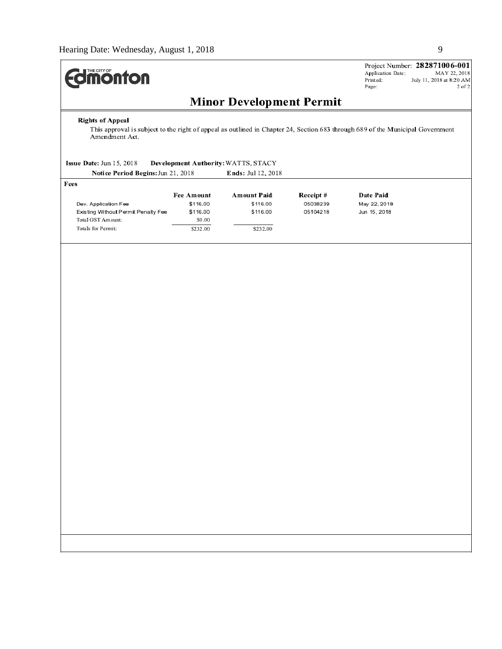

Project Number: 282871006-001 Application Date: MAY 22, 2018 Printed: July 11, 2018 at 8:20 AM Page:  $2$  of  $2\,$ 

# **Minor Development Permit**

#### **Rights of Appeal**

This approval is subject to the right of appeal as outlined in Chapter 24, Section 683 through 689 of the Municipal Government Amendment Act.

#### Issue Date: Jun 15, 2018 Development Authority: WATTS, STACY  $21.2018$

| Notice Period Begins: Jun 21, 2018  | <b>Ends:</b> Jul 12, 2018 |                    |           |              |
|-------------------------------------|---------------------------|--------------------|-----------|--------------|
| Fees                                |                           |                    |           |              |
|                                     | <b>Fee Amount</b>         | <b>Amount Paid</b> | Receipt # | Date Paid    |
| Dev. Application Fee                | \$116.00                  | \$116.00           | 05038239  | May 22, 2018 |
| Existing Without Permit Penalty Fee | \$116.00                  | \$116.00           | 05104218  | Jun 15, 2018 |
| Total GST Amount:                   | \$0.00                    |                    |           |              |
| Totals for Permit:                  | \$232.00                  | \$232.00           |           |              |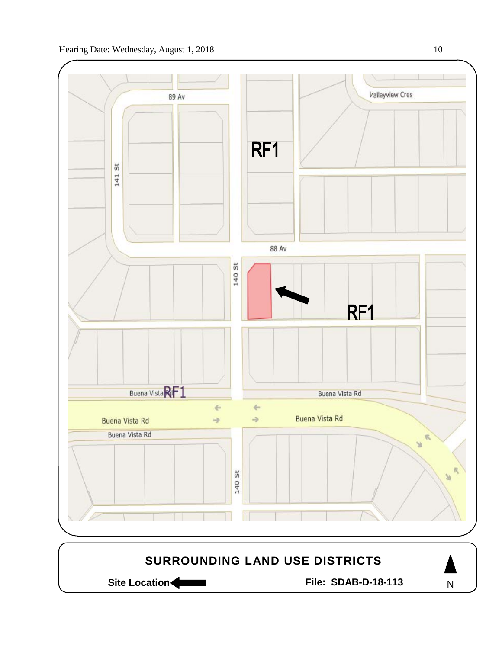

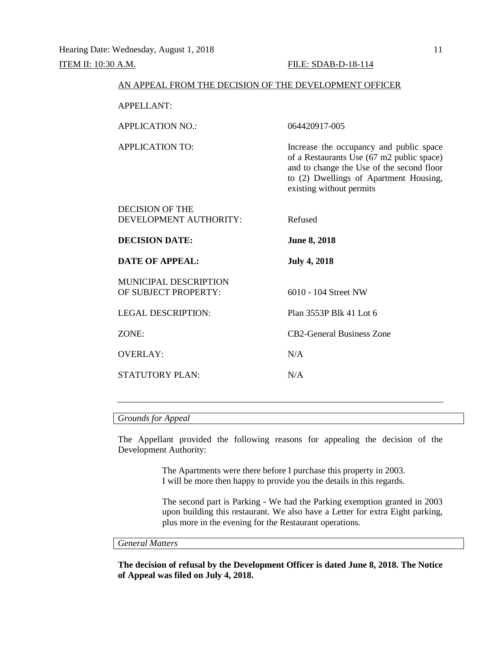| AN APPEAL FROM THE DECISION OF THE DEVELOPMENT OFFICER |                                                                                                                                                                                                         |
|--------------------------------------------------------|---------------------------------------------------------------------------------------------------------------------------------------------------------------------------------------------------------|
| <b>APPELLANT:</b>                                      |                                                                                                                                                                                                         |
| <b>APPLICATION NO.:</b>                                | 064420917-005                                                                                                                                                                                           |
| <b>APPLICATION TO:</b>                                 | Increase the occupancy and public space<br>of a Restaurants Use (67 m2 public space)<br>and to change the Use of the second floor<br>to (2) Dwellings of Apartment Housing,<br>existing without permits |
| <b>DECISION OF THE</b><br>DEVELOPMENT AUTHORITY:       | Refused                                                                                                                                                                                                 |
| <b>DECISION DATE:</b>                                  | <b>June 8, 2018</b>                                                                                                                                                                                     |
| <b>DATE OF APPEAL:</b>                                 | <b>July 4, 2018</b>                                                                                                                                                                                     |
| <b>MUNICIPAL DESCRIPTION</b><br>OF SUBJECT PROPERTY:   | 6010 - 104 Street NW                                                                                                                                                                                    |
| <b>LEGAL DESCRIPTION:</b>                              | Plan 3553P Blk 41 Lot 6                                                                                                                                                                                 |
| ZONE:                                                  |                                                                                                                                                                                                         |
|                                                        | <b>CB2-General Business Zone</b>                                                                                                                                                                        |
| <b>OVERLAY:</b>                                        | N/A                                                                                                                                                                                                     |

#### *Grounds for Appeal*

The Appellant provided the following reasons for appealing the decision of the Development Authority:

> The Apartments were there before I purchase this property in 2003. I will be more then happy to provide you the details in this regards.

The second part is Parking - We had the Parking exemption granted in 2003 upon building this restaurant. We also have a Letter for extra Eight parking, plus more in the evening for the Restaurant operations.

# *General Matters*

**The decision of refusal by the Development Officer is dated June 8, 2018. The Notice of Appeal was filed on July 4, 2018.**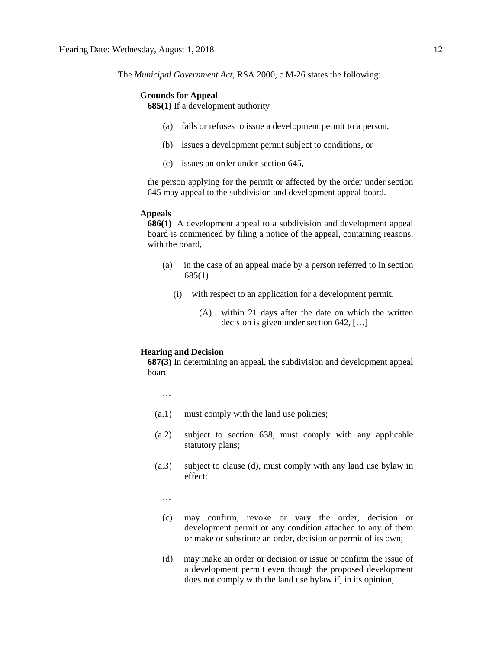The *Municipal Government Act*, RSA 2000, c M-26 states the following:

#### **Grounds for Appeal**

**685(1)** If a development authority

- (a) fails or refuses to issue a development permit to a person,
- (b) issues a development permit subject to conditions, or
- (c) issues an order under section 645,

the person applying for the permit or affected by the order under section 645 may appeal to the subdivision and development appeal board.

#### **Appeals**

**686(1)** A development appeal to a subdivision and development appeal board is commenced by filing a notice of the appeal, containing reasons, with the board,

- (a) in the case of an appeal made by a person referred to in section 685(1)
	- (i) with respect to an application for a development permit,
		- (A) within 21 days after the date on which the written decision is given under section 642, […]

## **Hearing and Decision**

**687(3)** In determining an appeal, the subdivision and development appeal board

- …
- (a.1) must comply with the land use policies;
- (a.2) subject to section 638, must comply with any applicable statutory plans;
- (a.3) subject to clause (d), must comply with any land use bylaw in effect;
	- …
	- (c) may confirm, revoke or vary the order, decision or development permit or any condition attached to any of them or make or substitute an order, decision or permit of its own;
	- (d) may make an order or decision or issue or confirm the issue of a development permit even though the proposed development does not comply with the land use bylaw if, in its opinion,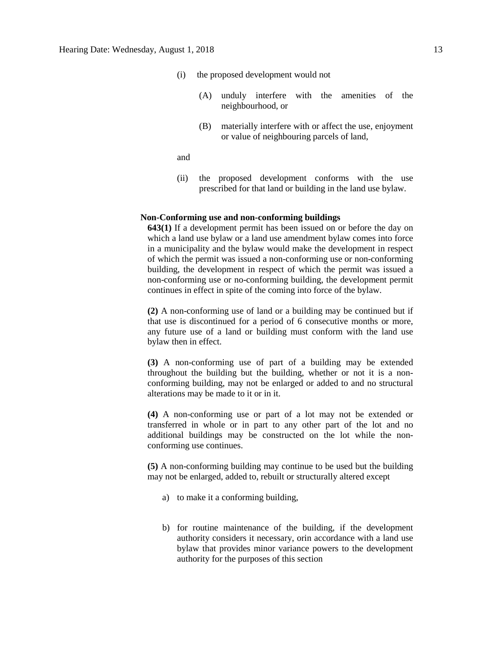- (i) the proposed development would not
	- (A) unduly interfere with the amenities of the neighbourhood, or
	- (B) materially interfere with or affect the use, enjoyment or value of neighbouring parcels of land,

and

(ii) the proposed development conforms with the use prescribed for that land or building in the land use bylaw.

## **Non-Conforming use and non-conforming buildings**

**643(1)** If a development permit has been issued on or before the day on which a land use bylaw or a land use amendment bylaw comes into force in a municipality and the bylaw would make the development in respect of which the permit was issued a non-conforming use or non-conforming building, the development in respect of which the permit was issued a non-conforming use or no-conforming building, the development permit continues in effect in spite of the coming into force of the bylaw.

**(2)** A non-conforming use of land or a building may be continued but if that use is discontinued for a period of 6 consecutive months or more, any future use of a land or building must conform with the land use bylaw then in effect.

**(3)** A non-conforming use of part of a building may be extended throughout the building but the building, whether or not it is a nonconforming building, may not be enlarged or added to and no structural alterations may be made to it or in it.

**(4)** A non-conforming use or part of a lot may not be extended or transferred in whole or in part to any other part of the lot and no additional buildings may be constructed on the lot while the nonconforming use continues.

**(5)** A non-conforming building may continue to be used but the building may not be enlarged, added to, rebuilt or structurally altered except

- a) to make it a conforming building,
- b) for routine maintenance of the building, if the development authority considers it necessary, orin accordance with a land use bylaw that provides minor variance powers to the development authority for the purposes of this section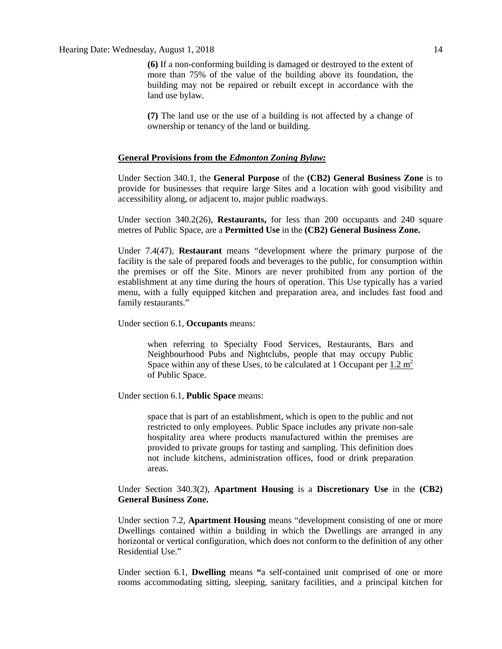Hearing Date: Wednesday, August 1, 2018 14

**(6)** If a non-conforming building is damaged or destroyed to the extent of more than 75% of the value of the building above its foundation, the building may not be repaired or rebuilt except in accordance with the land use bylaw.

**(7)** The land use or the use of a building is not affected by a change of ownership or tenancy of the land or building.

#### **General Provisions from the** *Edmonton Zoning Bylaw:*

Under Section 340.1, the **General Purpose** of the **(CB2) General Business Zone** is to provide for businesses that require large Sites and a location with good visibility and accessibility along, or adjacent to, major public roadways.

Under section 340.2(26), **Restaurants,** for less than 200 occupants and 240 square metres of Public Space, are a **Permitted Use** in the **(CB2) General Business Zone.**

Under 7.4(47), **Restaurant** means "development where the primary purpose of the facility is the sale of prepared foods and beverages to the public, for consumption within the premises or off the Site. Minors are never prohibited from any portion of the establishment at any time during the hours of operation. This Use typically has a varied menu, with a fully equipped kitchen and preparation area, and includes fast food and family restaurants."

Under section 6.1, **Occupants** means:

when referring to Specialty Food Services, Restaurants, Bars and Neighbourhood Pubs and Nightclubs, people that may occupy Public Space within any of these Uses, to be calculated at 1 Occupant per  $1.2 \text{ m}^2$ of Public Space.

Under section 6.1, **Public Space** means:

space that is part of an establishment, which is open to the public and not restricted to only employees. Public Space includes any private non-sale hospitality area where products manufactured within the premises are provided to private groups for tasting and sampling. This definition does not include kitchens, administration offices, food or drink preparation areas.

Under Section 340.3(2), **Apartment Housing** is a **Discretionary Use** in the **(CB2) General Business Zone.**

Under section 7.2, **Apartment Housing** means "development consisting of one or more Dwellings contained within a building in which the Dwellings are arranged in any horizontal or vertical configuration, which does not conform to the definition of any other Residential Use."

Under section 6.1, **Dwelling** means **"**a self-contained unit comprised of one or more rooms accommodating sitting, sleeping, sanitary facilities, and a principal kitchen for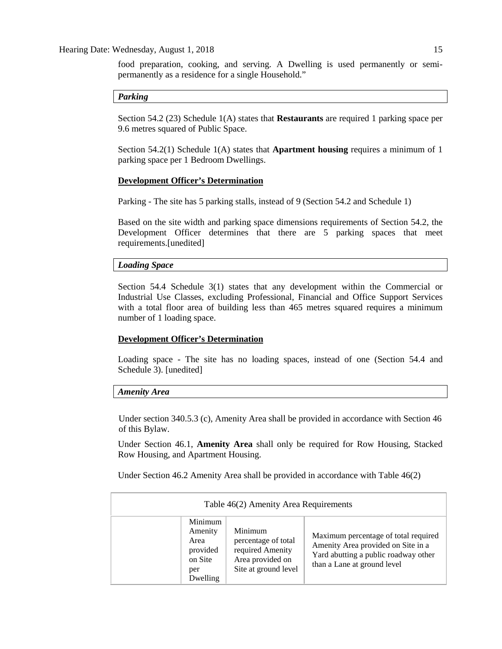food preparation, cooking, and serving. A Dwelling is used permanently or semipermanently as a residence for a single Household."

## *Parking*

Section 54.2 (23) Schedule 1(A) states that **Restaurants** are required 1 parking space per 9.6 metres squared of Public Space.

Section 54.2(1) Schedule 1(A) states that **Apartment housing** requires a minimum of 1 parking space per 1 Bedroom Dwellings.

## **Development Officer's Determination**

Parking - The site has 5 parking stalls, instead of 9 (Section 54.2 and Schedule 1)

Based on the site width and parking space dimensions requirements of Section 54.2, the Development Officer determines that there are 5 parking spaces that meet requirements.[unedited]

#### *Loading Space*

Section 54.4 Schedule 3(1) states that any development within the Commercial or Industrial Use Classes, excluding Professional, Financial and Office Support Services with a total floor area of building less than 465 metres squared requires a minimum number of 1 loading space.

## **Development Officer's Determination**

Loading space - The site has no loading spaces, instead of one (Section 54.4 and Schedule 3). [unedited]

#### *Amenity Area*

Under section 340.5.3 (c), Amenity Area shall be provided in accordance with Section 46 of this Bylaw.

Under Section 46.1, **Amenity Area** shall only be required for Row Housing, Stacked Row Housing, and Apartment Housing.

Under Section 46.2 Amenity Area shall be provided in accordance with Table 46(2)

| Table 46(2) Amenity Area Requirements                                |                                                                                                |                                                                                                                                                   |  |  |  |  |  |
|----------------------------------------------------------------------|------------------------------------------------------------------------------------------------|---------------------------------------------------------------------------------------------------------------------------------------------------|--|--|--|--|--|
| Minimum<br>Amenity<br>Area<br>provided<br>on Site<br>per<br>Dwelling | Minimum<br>percentage of total<br>required Amenity<br>Area provided on<br>Site at ground level | Maximum percentage of total required<br>Amenity Area provided on Site in a<br>Yard abutting a public roadway other<br>than a Lane at ground level |  |  |  |  |  |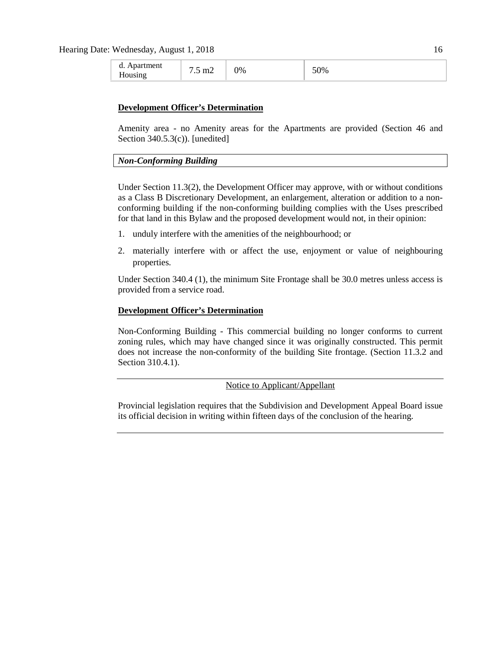| Apartment<br>d.<br>$m\angle$<br>$\cdot$<br>Housing | $\gamma_{\%}$ | 50% |
|----------------------------------------------------|---------------|-----|
|----------------------------------------------------|---------------|-----|

#### **Development Officer's Determination**

Amenity area - no Amenity areas for the Apartments are provided (Section 46 and Section 340.5.3(c)). [unedited]

#### *Non-Conforming Building*

Under Section 11.3(2), the Development Officer may approve, with or without conditions as a Class B Discretionary Development, an enlargement, alteration or addition to a nonconforming building if the non-conforming building complies with the Uses prescribed for that land in this Bylaw and the proposed development would not, in their opinion:

- 1. unduly interfere with the amenities of the neighbourhood; or
- 2. materially interfere with or affect the use, enjoyment or value of neighbouring properties.

Under Section 340.4 (1), the minimum Site Frontage shall be 30.0 metres unless access is provided from a service road.

# **Development Officer's Determination**

Non-Conforming Building - This commercial building no longer conforms to current zoning rules, which may have changed since it was originally constructed. This permit does not increase the non-conformity of the building Site frontage. (Section 11.3.2 and Section 310.4.1).

Notice to Applicant/Appellant

Provincial legislation requires that the Subdivision and Development Appeal Board issue its official decision in writing within fifteen days of the conclusion of the hearing.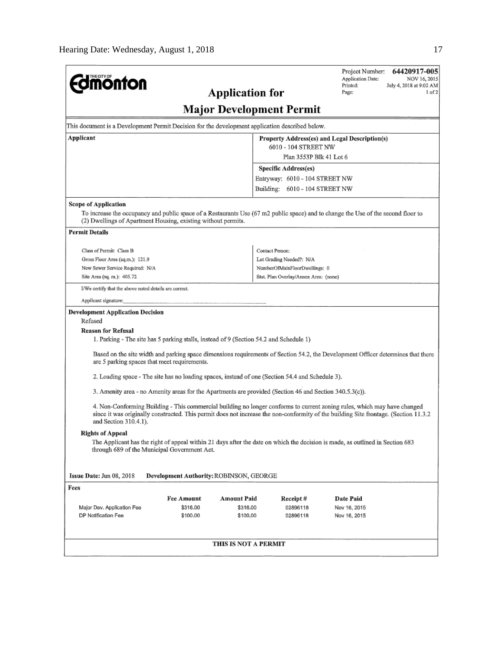|                                                                                                                                                                                                                                                                                            |                                                        |                         |                                       | Project Number:<br>64420917-005<br>Application Date:<br>NOV 16, 2015                                                              |  |  |  |  |  |
|--------------------------------------------------------------------------------------------------------------------------------------------------------------------------------------------------------------------------------------------------------------------------------------------|--------------------------------------------------------|-------------------------|---------------------------------------|-----------------------------------------------------------------------------------------------------------------------------------|--|--|--|--|--|
| <b>monton</b>                                                                                                                                                                                                                                                                              | Printed:<br>July 4, 2018 at 9:02 AM<br>Page:<br>1 of 2 |                         |                                       |                                                                                                                                   |  |  |  |  |  |
| <b>Application for</b>                                                                                                                                                                                                                                                                     |                                                        |                         |                                       |                                                                                                                                   |  |  |  |  |  |
|                                                                                                                                                                                                                                                                                            | <b>Major Development Permit</b>                        |                         |                                       |                                                                                                                                   |  |  |  |  |  |
| This document is a Development Permit Decision for the development application described below.                                                                                                                                                                                            |                                                        |                         |                                       |                                                                                                                                   |  |  |  |  |  |
| Applicant                                                                                                                                                                                                                                                                                  | Property Address(es) and Legal Description(s)          |                         |                                       |                                                                                                                                   |  |  |  |  |  |
|                                                                                                                                                                                                                                                                                            | 6010 - 104 STREET NW                                   |                         |                                       |                                                                                                                                   |  |  |  |  |  |
|                                                                                                                                                                                                                                                                                            | Plan 3553P Blk 41 Lot 6<br>Specific Address(es)        |                         |                                       |                                                                                                                                   |  |  |  |  |  |
|                                                                                                                                                                                                                                                                                            |                                                        |                         | Entryway: 6010 - 104 STREET NW        |                                                                                                                                   |  |  |  |  |  |
|                                                                                                                                                                                                                                                                                            |                                                        |                         | Building: 6010 - 104 STREET NW        |                                                                                                                                   |  |  |  |  |  |
| Scope of Application<br>(2) Dwellings of Apartment Housing, existing without permits.                                                                                                                                                                                                      |                                                        |                         |                                       | To increase the occupancy and public space of a Restaurants Use (67 m2 public space) and to change the Use of the second floor to |  |  |  |  |  |
| <b>Permit Details</b>                                                                                                                                                                                                                                                                      |                                                        |                         |                                       |                                                                                                                                   |  |  |  |  |  |
| Class of Permit: Class B                                                                                                                                                                                                                                                                   |                                                        |                         | Contact Person:                       |                                                                                                                                   |  |  |  |  |  |
| Gross Floor Area (sq.m.): 121.9                                                                                                                                                                                                                                                            |                                                        |                         | Lot Grading Needed?: N/A              |                                                                                                                                   |  |  |  |  |  |
| New Sewer Service Required: N/A                                                                                                                                                                                                                                                            |                                                        |                         | NumberOfMainFloorDwellings: 0         |                                                                                                                                   |  |  |  |  |  |
| Site Area (sq. m.): 405.72                                                                                                                                                                                                                                                                 |                                                        |                         | Stat, Plan Overlay/Annex Area: (none) |                                                                                                                                   |  |  |  |  |  |
| I/We certify that the above noted details are correct.                                                                                                                                                                                                                                     |                                                        |                         |                                       |                                                                                                                                   |  |  |  |  |  |
| Applicant signature:                                                                                                                                                                                                                                                                       |                                                        |                         |                                       |                                                                                                                                   |  |  |  |  |  |
| <b>Development Application Decision</b><br>Refused<br><b>Reason for Refusal</b>                                                                                                                                                                                                            |                                                        |                         |                                       |                                                                                                                                   |  |  |  |  |  |
| 1. Parking - The site has 5 parking stalls, instead of 9 (Section 54.2 and Schedule 1)                                                                                                                                                                                                     |                                                        |                         |                                       |                                                                                                                                   |  |  |  |  |  |
| are 5 parking spaces that meet requirements.                                                                                                                                                                                                                                               |                                                        |                         |                                       | Based on the site width and parking space dimensions requirements of Section 54.2, the Development Officer determines that there  |  |  |  |  |  |
| 2. Loading space - The site has no loading spaces, instead of one (Section 54.4 and Schedule 3).                                                                                                                                                                                           |                                                        |                         |                                       |                                                                                                                                   |  |  |  |  |  |
| 3. Amenity area - no Amenity areas for the Apartments are provided (Section 46 and Section 340.5.3(c)).                                                                                                                                                                                    |                                                        |                         |                                       |                                                                                                                                   |  |  |  |  |  |
| 4. Non-Conforming Building - This commercial building no longer conforms to current zoning rules, which may have changed<br>since it was originally constructed. This permit does not increase the non-conformity of the building Site frontage. (Section 11.3.2)<br>and Section 310.4.1). |                                                        |                         |                                       |                                                                                                                                   |  |  |  |  |  |
| <b>Rights of Appeal</b>                                                                                                                                                                                                                                                                    |                                                        |                         |                                       |                                                                                                                                   |  |  |  |  |  |
| The Applicant has the right of appeal within 21 days after the date on which the decision is made, as outlined in Section 683<br>through 689 of the Municipal Government Act.                                                                                                              |                                                        |                         |                                       |                                                                                                                                   |  |  |  |  |  |
|                                                                                                                                                                                                                                                                                            |                                                        |                         |                                       |                                                                                                                                   |  |  |  |  |  |
| Issue Date: Jun 08, 2018                                                                                                                                                                                                                                                                   | Development Authority: ROBINSON, GEORGE                |                         |                                       |                                                                                                                                   |  |  |  |  |  |
| Fees                                                                                                                                                                                                                                                                                       |                                                        |                         |                                       |                                                                                                                                   |  |  |  |  |  |
| Major Dev. Application Fee                                                                                                                                                                                                                                                                 | <b>Fee Amount</b><br>\$316.00                          | Amount Paid<br>\$316.00 | Receipt#<br>02896118                  | Date Paid<br>Nov 16, 2015                                                                                                         |  |  |  |  |  |
| DP Notification Fee                                                                                                                                                                                                                                                                        | \$100.00                                               | \$100,00                | 02896118                              | Nov 16, 2015                                                                                                                      |  |  |  |  |  |
|                                                                                                                                                                                                                                                                                            |                                                        | THIS IS NOT A PERMIT    |                                       |                                                                                                                                   |  |  |  |  |  |
|                                                                                                                                                                                                                                                                                            |                                                        |                         |                                       |                                                                                                                                   |  |  |  |  |  |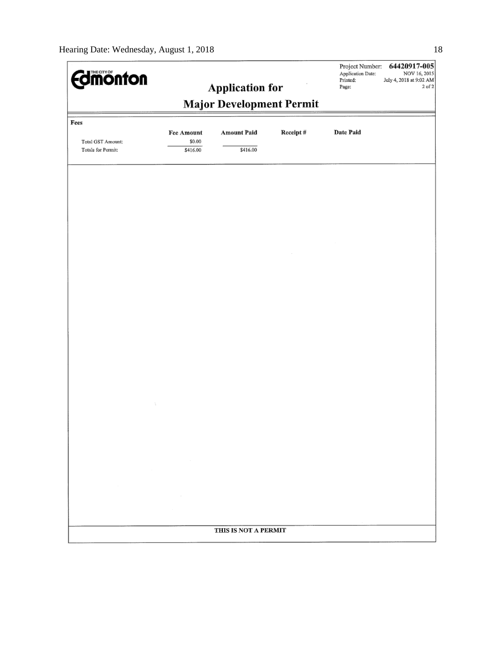| <b>dmonton</b>                                            |                                  |                                |          | Project Number:<br>Application Date:<br>Printed:<br>Page: | 64420917-005<br>NOV 16, 2015<br>July 4, 2018 at 9:02 AM<br>2 of 2 |  |  |  |  |
|-----------------------------------------------------------|----------------------------------|--------------------------------|----------|-----------------------------------------------------------|-------------------------------------------------------------------|--|--|--|--|
| <b>Application for</b><br><b>Major Development Permit</b> |                                  |                                |          |                                                           |                                                                   |  |  |  |  |
| Fees                                                      |                                  |                                |          |                                                           |                                                                   |  |  |  |  |
| Total GST Amount:<br>Totals for Permit:                   | Fee Amount<br>\$0.00<br>\$416.00 | <b>Amount Paid</b><br>\$416.00 | Receipt# | Date Paid                                                 |                                                                   |  |  |  |  |
|                                                           |                                  |                                |          |                                                           |                                                                   |  |  |  |  |
|                                                           |                                  |                                |          |                                                           |                                                                   |  |  |  |  |
|                                                           |                                  |                                |          |                                                           |                                                                   |  |  |  |  |
|                                                           |                                  |                                |          |                                                           |                                                                   |  |  |  |  |
|                                                           |                                  |                                |          |                                                           |                                                                   |  |  |  |  |
|                                                           |                                  |                                |          |                                                           |                                                                   |  |  |  |  |
|                                                           |                                  |                                |          |                                                           |                                                                   |  |  |  |  |
|                                                           |                                  |                                |          |                                                           |                                                                   |  |  |  |  |
|                                                           |                                  |                                |          |                                                           |                                                                   |  |  |  |  |
|                                                           |                                  |                                |          |                                                           |                                                                   |  |  |  |  |
|                                                           |                                  |                                |          |                                                           |                                                                   |  |  |  |  |
|                                                           |                                  |                                |          |                                                           |                                                                   |  |  |  |  |
|                                                           |                                  | THIS IS NOT A PERMIT           |          |                                                           |                                                                   |  |  |  |  |